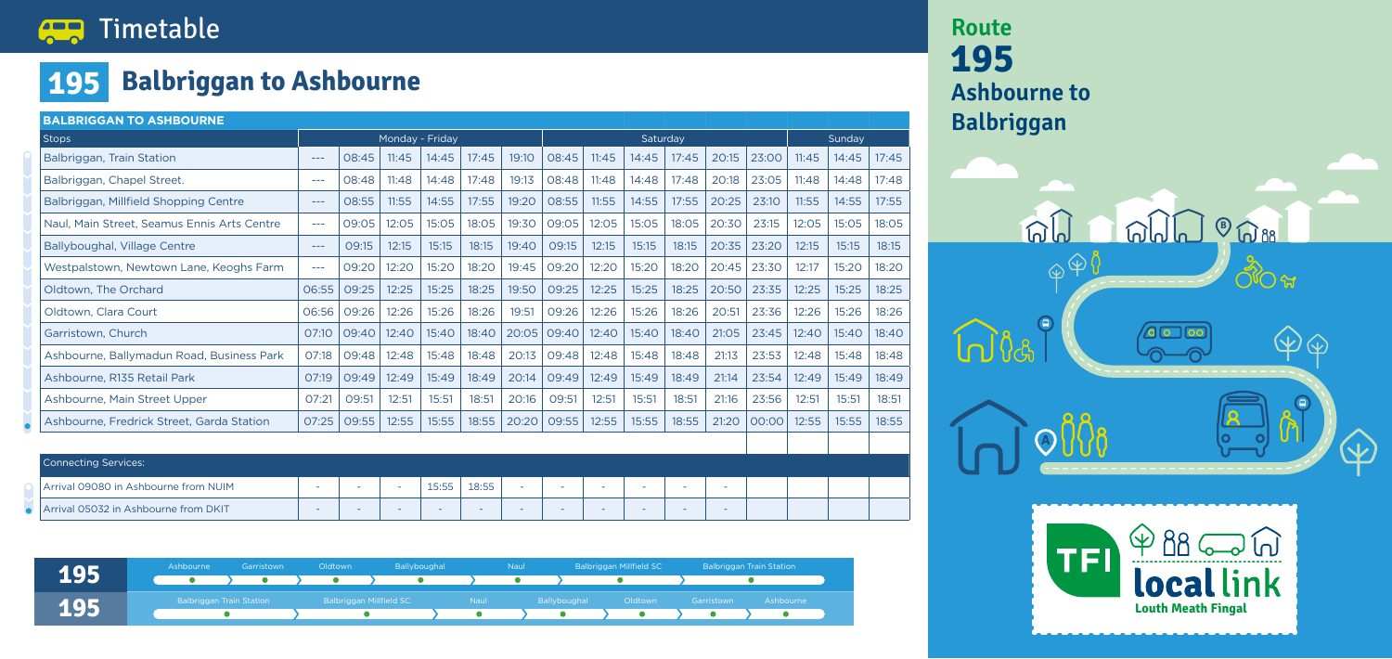#### Timetable **AR**

## **195 Balbriggan to Ashbourne**

| <b>BALBRIGGAN TO ASHBOURNE</b>                    |        |       |                 |       |       |       |                          |        |        |                          |       |       |       |        |       |  |
|---------------------------------------------------|--------|-------|-----------------|-------|-------|-------|--------------------------|--------|--------|--------------------------|-------|-------|-------|--------|-------|--|
| <b>Stops</b>                                      |        |       | Monday - Friday |       |       |       | Saturday                 |        |        |                          |       |       |       | Sunday |       |  |
| Balbriggan, Train Station                         | $---$  | 08:45 | 11:45           | 14:45 | 17:45 | 19:10 | 08:45                    | 11:45  | 14:45  | 17:45                    | 20:15 | 23:00 | 11:45 | 14:45  | 17:45 |  |
| Balbriggan, Chapel Street.                        | $---$  | 08:48 | 11:48           | 14:48 | 17:48 | 19:13 | 08:48                    | 11:48  | 14:48  | 17:48                    | 20:18 | 23:05 | 11:48 | 14:48  | 17:48 |  |
| Balbriggan, Millfield Shopping Centre             | $---$  | 08:55 | 11:55           | 14:55 | 17:55 | 19:20 | 08:55                    | 11:55  | 14:55  | 17:55                    | 20:25 | 23:10 | 11:55 | 14:55  | 17:55 |  |
| Naul, Main Street, Seamus Ennis Arts Centre       | $---$  | 09:05 | 12:05           | 15:05 | 18:05 | 19:30 | 09:05                    | 12:05  | 15:05  | 18:05                    | 20:30 | 23:15 | 12:05 | 15:05  | 18:05 |  |
| Ballyboughal, Village Centre                      | $---$  | 09:15 | 12:15           | 15:15 | 18:15 | 19:40 | 09:15                    | 12:15  | 15:15  | 18:15                    | 20:35 | 23:20 | 12:15 | 15:15  | 18:15 |  |
| Westpalstown, Newtown Lane, Keoghs Farm           | $---$  | 09:20 | 12:20           | 15:20 | 18:20 | 19:45 | 09:20                    | 12:20  | 15:20  | 18:20                    | 20:45 | 23:30 | 12:17 | 15:20  | 18:20 |  |
| Oldtown, The Orchard                              | 06:55  | 09:25 | 12:25           | 15:25 | 18:25 | 19:50 | 09:25                    | 12:25  | 15:25  | 18:25                    | 20:50 | 23:35 | 12:25 | 15:25  | 18:25 |  |
| Oldtown, Clara Court                              | 06:56  | 09:26 | 12:26           | 15:26 | 18:26 | 19:51 | 09:26                    | 12:26  | 15:26  | 18:26                    | 20:51 | 23:36 | 12:26 | 15:26  | 18:26 |  |
| Garristown, Church                                | 07:10  | 09:40 | 12:40           | 15:40 | 18:40 | 20:05 | 09:40                    | 12:40  | 15:40  | 18:40                    | 21:05 | 23:45 | 12:40 | 15:40  | 18:40 |  |
| Ashbourne, Ballymadun Road, Business Park         | 07:18  | 09:48 | 12:48           | 15:48 | 18:48 | 20:13 | 09:48                    | 12:48  | 15:48  | 18:48                    | 21:13 | 23:53 | 12:48 | 15:48  | 18:48 |  |
| Ashbourne, R135 Retail Park                       | 07:19  | 09:49 | 12:49           | 15:49 | 18:49 | 20:14 | 09:49                    | 12:49  | 15:49  | 18:49                    | 21:14 | 23:54 | 12:49 | 15:49  | 18:49 |  |
| Ashbourne, Main Street Upper                      | 07:21  | 09:51 | 12:51           | 15:51 | 18:51 | 20:16 | 09:51                    | 12:51  | 15:51  | 18:51                    | 21:16 | 23:56 | 12:51 | 15:51  | 18:51 |  |
| Ashbourne, Fredrick Street, Garda Station         | 07:25  | 09:55 | 12:55           | 15:55 | 18:55 | 20:20 | 09:55                    | 12:55  | 15:55  | 18:55                    | 21:20 | 00:00 | 12:55 | 15:55  | 18:55 |  |
|                                                   |        |       |                 |       |       |       |                          |        |        |                          |       |       |       |        |       |  |
| <b>Connecting Services:</b>                       |        |       |                 |       |       |       |                          |        |        |                          |       |       |       |        |       |  |
| Arrival 09080 in Ashbourne from NUIM              | $\sim$ |       | ٠               | 15:55 | 18:55 |       | $\overline{\phantom{a}}$ | $\sim$ | $\sim$ | $\overline{\phantom{a}}$ | ÷     |       |       |        |       |  |
| Arrival 05032 in Ashbourne from DKIT<br>$\bullet$ |        |       |                 |       |       |       | $\equiv$                 |        |        |                          |       |       |       |        |       |  |

# **Route 195**



| 195 | Ashbourne                       | Garristown             | Oldtown                 | <b>Ballyboughal</b>            |             | <b>Naul</b> |              | Balbriggan Millfield SC           | <b>Balbriggan Train Station</b> |           |  |
|-----|---------------------------------|------------------------|-------------------------|--------------------------------|-------------|-------------|--------------|-----------------------------------|---------------------------------|-----------|--|
|     |                                 | $\lambda$ or $\lambda$ | $\sum_{i=1}^{n}$        | <u>experimental properties</u> |             |             |              |                                   |                                 |           |  |
| 195 | <b>Balbriggan Train Station</b> |                        | Balbriggan Millfield SC |                                | <b>Naul</b> |             | Ballyboughal | Oldtown                           | Garristown                      | Ashbourne |  |
|     |                                 |                        |                         |                                | $\bullet$   |             | $\bullet$    | $\bullet$ $\rightarrow$ $\bullet$ | $\bullet$                       |           |  |